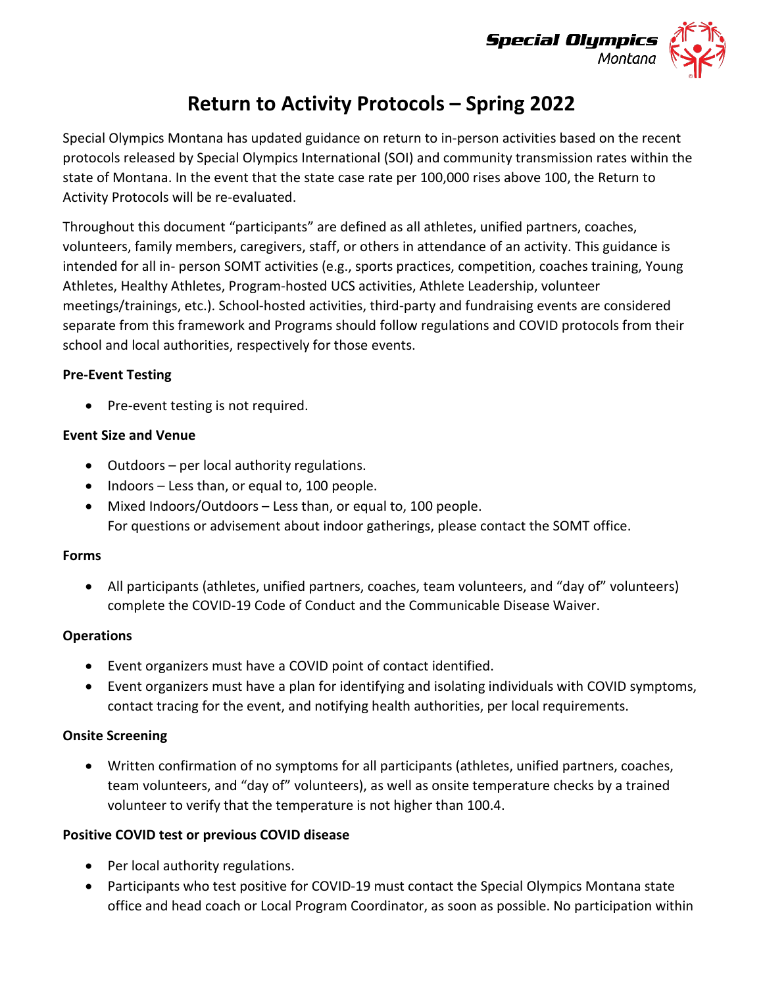

# **Return to Activity Protocols – Spring 2022**

Special Olympics Montana has updated guidance on return to in-person activities based on the recent protocols released by Special Olympics International (SOI) and community transmission rates within the state of Montana. In the event that the state case rate per 100,000 rises above 100, the Return to Activity Protocols will be re-evaluated.

Throughout this document "participants" are defined as all athletes, unified partners, coaches, volunteers, family members, caregivers, staff, or others in attendance of an activity. This guidance is intended for all in- person SOMT activities (e.g., sports practices, competition, coaches training, Young Athletes, Healthy Athletes, Program-hosted UCS activities, Athlete Leadership, volunteer meetings/trainings, etc.). School-hosted activities, third-party and fundraising events are considered separate from this framework and Programs should follow regulations and COVID protocols from their school and local authorities, respectively for those events.

#### **Pre-Event Testing**

• Pre-event testing is not required.

#### **Event Size and Venue**

- Outdoors per local authority regulations.
- Indoors Less than, or equal to, 100 people.
- Mixed Indoors/Outdoors Less than, or equal to, 100 people. For questions or advisement about indoor gatherings, please contact the SOMT office.

#### **Forms**

• All participants (athletes, unified partners, coaches, team volunteers, and "day of" volunteers) complete the COVID-19 Code of Conduct and the Communicable Disease Waiver.

#### **Operations**

- Event organizers must have a COVID point of contact identified.
- Event organizers must have a plan for identifying and isolating individuals with COVID symptoms, contact tracing for the event, and notifying health authorities, per local requirements.

## **Onsite Screening**

• Written confirmation of no symptoms for all participants (athletes, unified partners, coaches, team volunteers, and "day of" volunteers), as well as onsite temperature checks by a trained volunteer to verify that the temperature is not higher than 100.4.

## **Positive COVID test or previous COVID disease**

- Per local authority regulations.
- Participants who test positive for COVID-19 must contact the Special Olympics Montana state office and head coach or Local Program Coordinator, as soon as possible. No participation within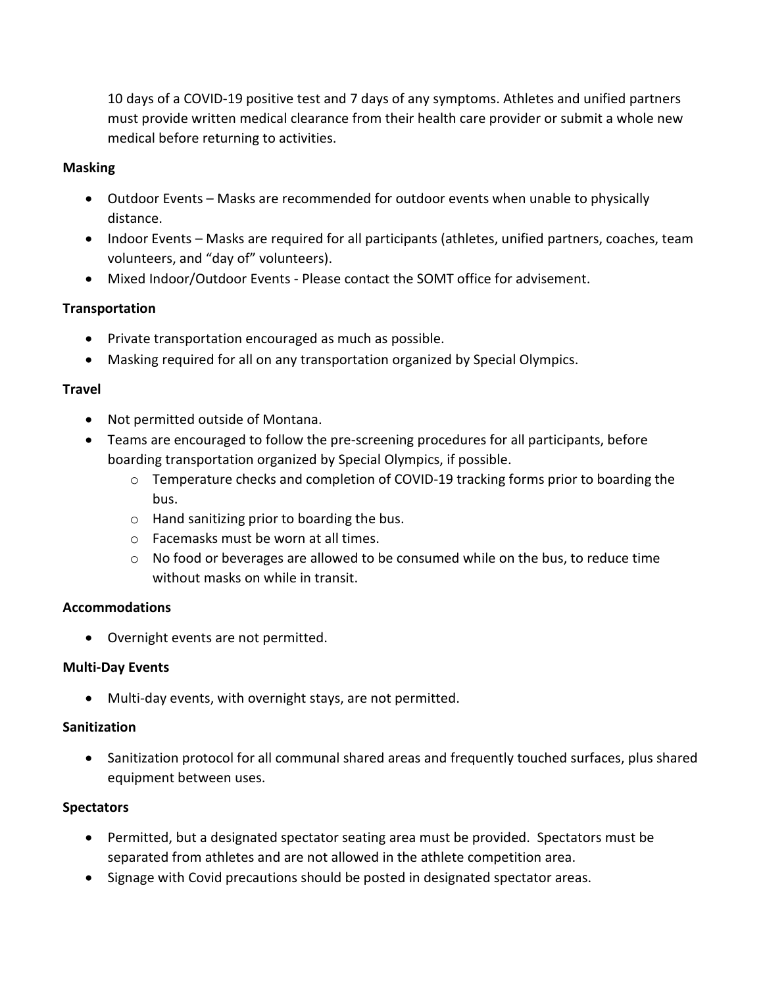10 days of a COVID-19 positive test and 7 days of any symptoms. Athletes and unified partners must provide written medical clearance from their health care provider or submit a whole new medical before returning to activities.

## **Masking**

- Outdoor Events Masks are recommended for outdoor events when unable to physically distance.
- Indoor Events Masks are required for all participants (athletes, unified partners, coaches, team volunteers, and "day of" volunteers).
- Mixed Indoor/Outdoor Events Please contact the SOMT office for advisement.

# **Transportation**

- Private transportation encouraged as much as possible.
- Masking required for all on any transportation organized by Special Olympics.

# **Travel**

- Not permitted outside of Montana.
- Teams are encouraged to follow the pre-screening procedures for all participants, before boarding transportation organized by Special Olympics, if possible.
	- o Temperature checks and completion of COVID-19 tracking forms prior to boarding the bus.
	- o Hand sanitizing prior to boarding the bus.
	- o Facemasks must be worn at all times.
	- $\circ$  No food or beverages are allowed to be consumed while on the bus, to reduce time without masks on while in transit.

## **Accommodations**

• Overnight events are not permitted.

## **Multi-Day Events**

• Multi-day events, with overnight stays, are not permitted.

## **Sanitization**

• Sanitization protocol for all communal shared areas and frequently touched surfaces, plus shared equipment between uses.

# **Spectators**

- Permitted, but a designated spectator seating area must be provided. Spectators must be separated from athletes and are not allowed in the athlete competition area.
- Signage with Covid precautions should be posted in designated spectator areas.